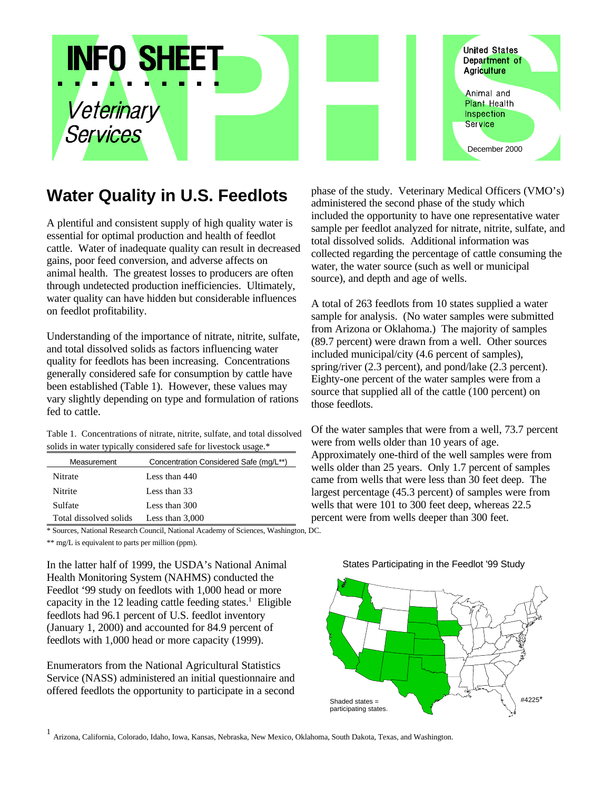

# **Water Quality in U.S. Feedlots**

A plentiful and consistent supply of high quality water is essential for optimal production and health of feedlot cattle. Water of inadequate quality can result in decreased gains, poor feed conversion, and adverse affects on animal health. The greatest losses to producers are often through undetected production inefficiencies. Ultimately, water quality can have hidden but considerable influences on feedlot profitability.

Understanding of the importance of nitrate, nitrite, sulfate, and total dissolved solids as factors influencing water quality for feedlots has been increasing. Concentrations generally considered safe for consumption by cattle have been established (Table 1). However, these values may vary slightly depending on type and formulation of rations fed to cattle.

Table 1. Concentrations of nitrate, nitrite, sulfate, and total dissolved solids in water typically considered safe for livestock usage.\*

| Measurement            | Concentration Considered Safe (mg/L**) |  |  |  |
|------------------------|----------------------------------------|--|--|--|
| Nitrate                | Less than 440                          |  |  |  |
| Nitrite                | Less than 33                           |  |  |  |
| Sulfate                | Less than 300                          |  |  |  |
| Total dissolved solids | Less than $3,000$                      |  |  |  |

\* Sources, National Research Council, National Academy of Sciences, Washington, DC.

\*\* mg/L is equivalent to parts per million (ppm).

In the latter half of 1999, the USDA's National Animal Health Monitoring System (NAHMS) conducted the Feedlot '99 study on feedlots with 1,000 head or more capacity in the 12 leading cattle feeding states.<sup>1</sup> Eligible feedlots had 96.1 percent of U.S. feedlot inventory (January 1, 2000) and accounted for 84.9 percent of feedlots with 1,000 head or more capacity (1999).

Enumerators from the National Agricultural Statistics Service (NASS) administered an initial questionnaire and offered feedlots the opportunity to participate in a second phase of the study. Veterinary Medical Officers (VMO's) administered the second phase of the study which included the opportunity to have one representative water sample per feedlot analyzed for nitrate, nitrite, sulfate, and total dissolved solids. Additional information was collected regarding the percentage of cattle consuming the water, the water source (such as well or municipal source), and depth and age of wells.

A total of 263 feedlots from 10 states supplied a water sample for analysis. (No water samples were submitted from Arizona or Oklahoma.) The majority of samples (89.7 percent) were drawn from a well. Other sources included municipal/city (4.6 percent of samples), spring/river (2.3 percent), and pond/lake (2.3 percent). Eighty-one percent of the water samples were from a source that supplied all of the cattle (100 percent) on those feedlots.

Of the water samples that were from a well, 73.7 percent were from wells older than 10 years of age. Approximately one-third of the well samples were from wells older than 25 years. Only 1.7 percent of samples came from wells that were less than 30 feet deep. The largest percentage (45.3 percent) of samples were from wells that were 101 to 300 feet deep, whereas 22.5 percent were from wells deeper than 300 feet.





1 Arizona, California, Colorado, Idaho, Iowa, Kansas, Nebraska, New Mexico, Oklahoma, South Dakota, Texas, and Washington.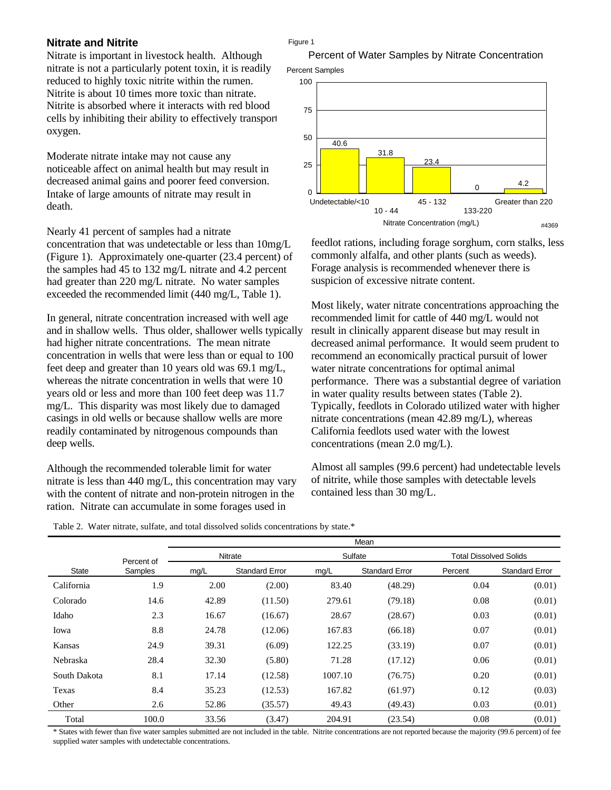## **Nitrate and Nitrite**

Nitrate is important in livestock health. Although nitrate is not a particularly potent toxin, it is readily reduced to highly toxic nitrite within the rumen. Nitrite is about 10 times more toxic than nitrate. Nitrite is absorbed where it interacts with red blood cells by inhibiting their ability to effectively transport oxygen.

Moderate nitrate intake may not cause any noticeable affect on animal health but may result in decreased animal gains and poorer feed conversion. Intake of large amounts of nitrate may result in death.

Nearly 41 percent of samples had a nitrate concentration that was undetectable or less than 10mg/L (Figure 1). Approximately one-quarter (23.4 percent) of the samples had 45 to 132 mg/L nitrate and 4.2 percent had greater than 220 mg/L nitrate. No water samples exceeded the recommended limit (440 mg/L, Table 1).

In general, nitrate concentration increased with well age and in shallow wells. Thus older, shallower wells typically had higher nitrate concentrations. The mean nitrate concentration in wells that were less than or equal to 100 feet deep and greater than 10 years old was 69.1 mg/L, whereas the nitrate concentration in wells that were 10 years old or less and more than 100 feet deep was 11.7 mg/L. This disparity was most likely due to damaged casings in old wells or because shallow wells are more readily contaminated by nitrogenous compounds than deep wells.

Although the recommended tolerable limit for water nitrate is less than 440 mg/L, this concentration may vary with the content of nitrate and non-protein nitrogen in the ration. Nitrate can accumulate in some forages used in

Figure 1



feedlot rations, including forage sorghum, corn stalks, less commonly alfalfa, and other plants (such as weeds). Forage analysis is recommended whenever there is suspicion of excessive nitrate content.

Most likely, water nitrate concentrations approaching the recommended limit for cattle of 440 mg/L would not result in clinically apparent disease but may result in decreased animal performance. It would seem prudent to recommend an economically practical pursuit of lower water nitrate concentrations for optimal animal performance. There was a substantial degree of variation in water quality results between states (Table 2). Typically, feedlots in Colorado utilized water with higher nitrate concentrations (mean 42.89 mg/L), whereas California feedlots used water with the lowest concentrations (mean 2.0 mg/L).

Almost all samples (99.6 percent) had undetectable levels of nitrite, while those samples with detectable levels contained less than 30 mg/L.

|              |            | Mean    |                       |         |                       |                               |                       |  |
|--------------|------------|---------|-----------------------|---------|-----------------------|-------------------------------|-----------------------|--|
|              | Percent of | Nitrate |                       | Sulfate |                       | <b>Total Dissolved Solids</b> |                       |  |
| State        | Samples    | mg/L    | <b>Standard Error</b> | mg/L    | <b>Standard Error</b> | Percent                       | <b>Standard Error</b> |  |
| California   | 1.9        | 2.00    | (2.00)                | 83.40   | (48.29)               | 0.04                          | (0.01)                |  |
| Colorado     | 14.6       | 42.89   | (11.50)               | 279.61  | (79.18)               | 0.08                          | (0.01)                |  |
| Idaho        | 2.3        | 16.67   | (16.67)               | 28.67   | (28.67)               | 0.03                          | (0.01)                |  |
| Iowa         | 8.8        | 24.78   | (12.06)               | 167.83  | (66.18)               | 0.07                          | (0.01)                |  |
| Kansas       | 24.9       | 39.31   | (6.09)                | 122.25  | (33.19)               | 0.07                          | (0.01)                |  |
| Nebraska     | 28.4       | 32.30   | (5.80)                | 71.28   | (17.12)               | 0.06                          | (0.01)                |  |
| South Dakota | 8.1        | 17.14   | (12.58)               | 1007.10 | (76.75)               | 0.20                          | (0.01)                |  |
| Texas        | 8.4        | 35.23   | (12.53)               | 167.82  | (61.97)               | 0.12                          | (0.03)                |  |
| Other        | 2.6        | 52.86   | (35.57)               | 49.43   | (49.43)               | 0.03                          | (0.01)                |  |
| Total        | 100.0      | 33.56   | (3.47)                | 204.91  | (23.54)               | 0.08                          | (0.01)                |  |

\* States with fewer than five water samples submitted are not included in the table. Nitrite concentrations are not reported because the majority (99.6 percent) of feedlots supplied water samples with undetectable concentrations.

#### Table 2. Water nitrate, sulfate, and total dissolved solids concentrations by state.\*